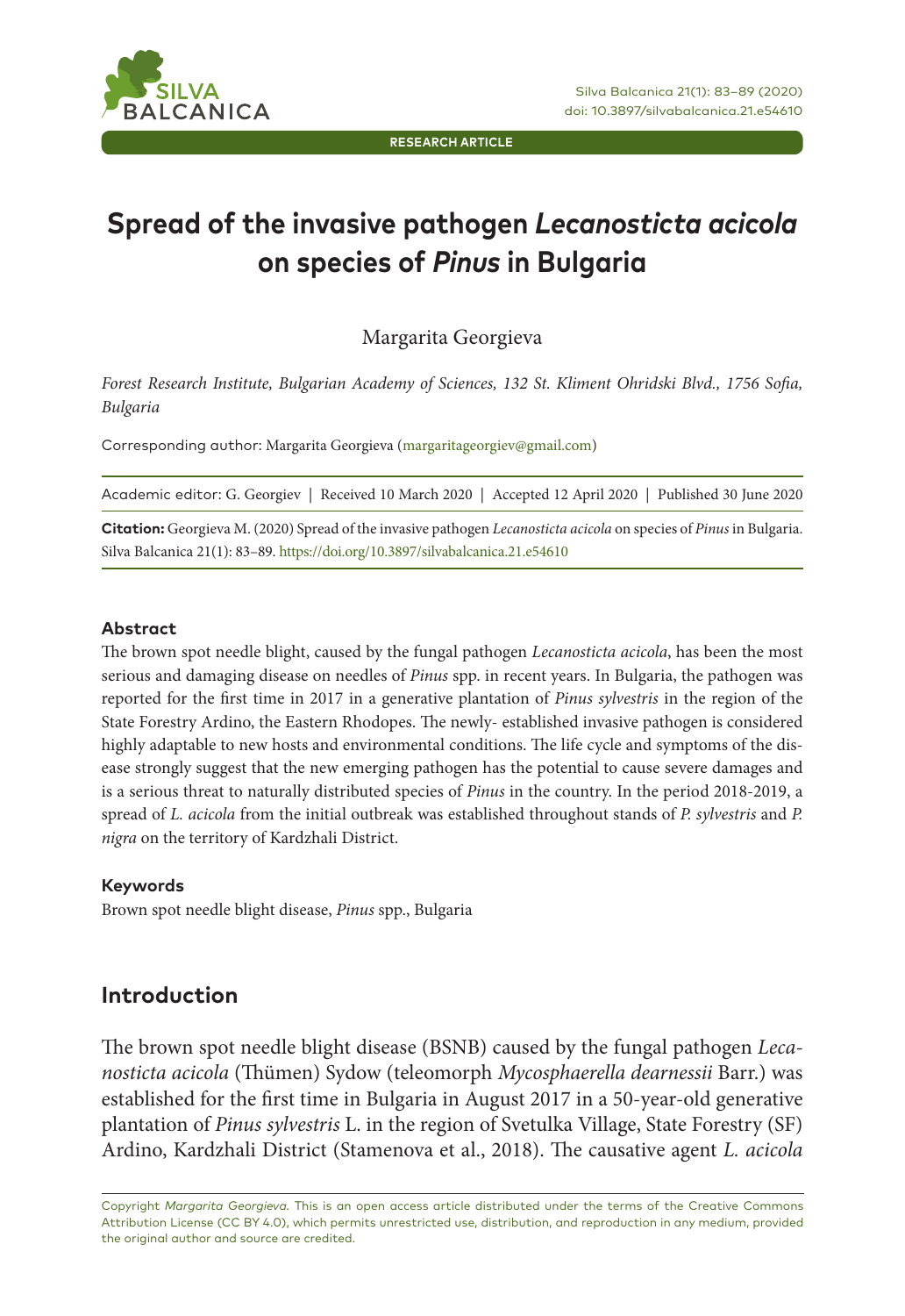**RESEARCH ARTICLE**

# **Spread of the invasive pathogen** *Lecanosticta acicola*  **on species of** *Pinus* **in Bulgaria**

Margarita Georgieva

*Forest Research Institute, Bulgarian Academy of Sciences, 132 St. Kliment Ohridski Blvd., 1756 Sofia, Bulgaria* 

Corresponding author: Margarita Georgieva (margaritageorgiev@gmail.com)

| Academic editor: G. Georgiev   Received 10 March 2020   Accepted 12 April 2020   Published 30 June 2020             |  |
|---------------------------------------------------------------------------------------------------------------------|--|
| Citation: Georgieva M. (2020) Spread of the invasive pathogen Lecanosticta acicola on species of Pinus in Bulgaria. |  |
| Silva Balcanica 21(1): 83-89. https://doi.org/10.3897/silvabalcanica.21.e54610                                      |  |

#### **Abstract**

The brown spot needle blight, caused by the fungal pathogen *Lecanosticta acicola*, has been the most serious and damaging disease on needles of *Pinus* spp. in recent years. In Bulgaria, the pathogen was reported for the first time in 2017 in a generative plantation of *Pinus sylvestris* in the region of the State Forestry Ardino, the Eastern Rhodopes. The newly- established invasive pathogen is considered highly adaptable to new hosts and environmental conditions. The life cycle and symptoms of the disease strongly suggest that the new emerging pathogen has the potential to cause severe damages and is a serious threat to naturally distributed species of *Pinus* in the country. In the period 2018-2019, a spread of *L. acicola* from the initial outbreak was established throughout stands of *P. sylvestris* and *P. nigra* on the territory of Kardzhali District.

#### **Keywords**

Brown spot needle blight disease, *Pinus* spp., Bulgaria

## **Introduction**

The brown spot needle blight disease (BSNB) caused by the fungal pathogen *Lecanosticta acicola* (Thümen) Sydow (teleomorph *Mycosphaerella dearnessii* Barr.) was established for the first time in Bulgaria in August 2017 in a 50-year-old generative plantation of *Pinus sylvestris* L. in the region of Svetulka Village, State Forestry (SF) Ardino, Kardzhali District (Stamenova et al., 2018). The causative agent *L. acicola*

Copyright *Margarita Georgieva.* This is an open access article distributed under the terms of the Creative Commons Attribution License (CC BY 4.0), which permits unrestricted use, distribution, and reproduction in any medium, provided the original author and source are credited.

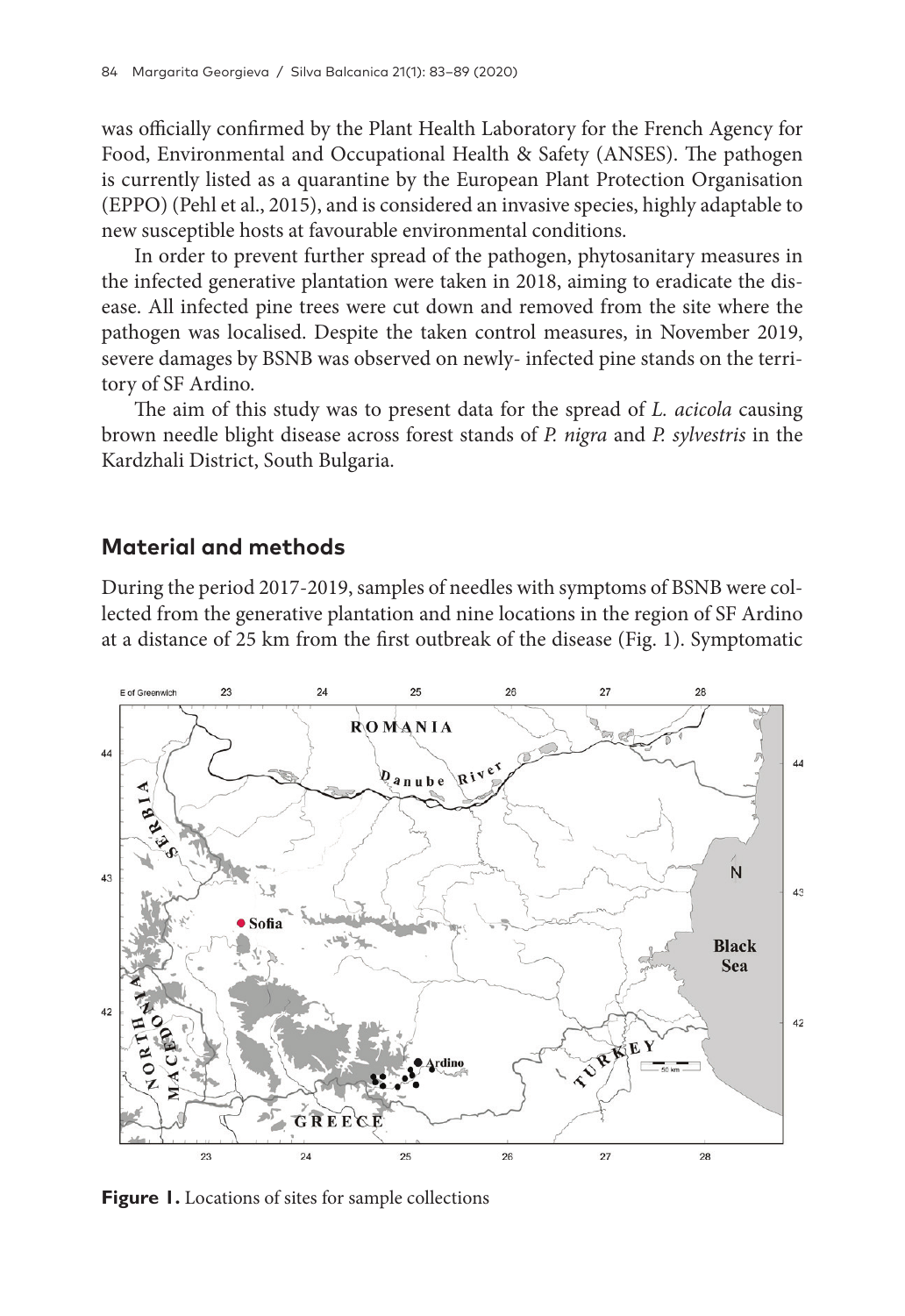was officially confirmed by the Plant Health Laboratory for the French Agency for Food, Environmental and Occupational Health & Safety (ANSES). The pathogen is currently listed as a quarantine by the European Plant Protection Organisation (EPPO) (Pehl et al., 2015), and is considered an invasive species, highly adaptable to new susceptible hosts at favourable environmental conditions.

In order to prevent further spread of the pathogen, phytosanitary measures in the infected generative plantation were taken in 2018, aiming to eradicate the disease. All infected pine trees were cut down and removed from the site where the pathogen was localised. Despite the taken control measures, in November 2019, severe damages by BSNB was observed on newly- infected pine stands on the territory of SF Ardino.

The aim of this study was to present data for the spread of *L. acicola* causing brown needle blight disease across forest stands of *P. nigra* and *P. sylvestris* in the Kardzhali District, South Bulgaria.

### **Material and methods**

During the period 2017-2019, samples of needles with symptoms of BSNB were collected from the generative plantation and nine locations in the region of SF Ardino at a distance of 25 km from the first outbreak of the disease (Fig. 1). Symptomatic



**Figure 1.** Locations of sites for sample collections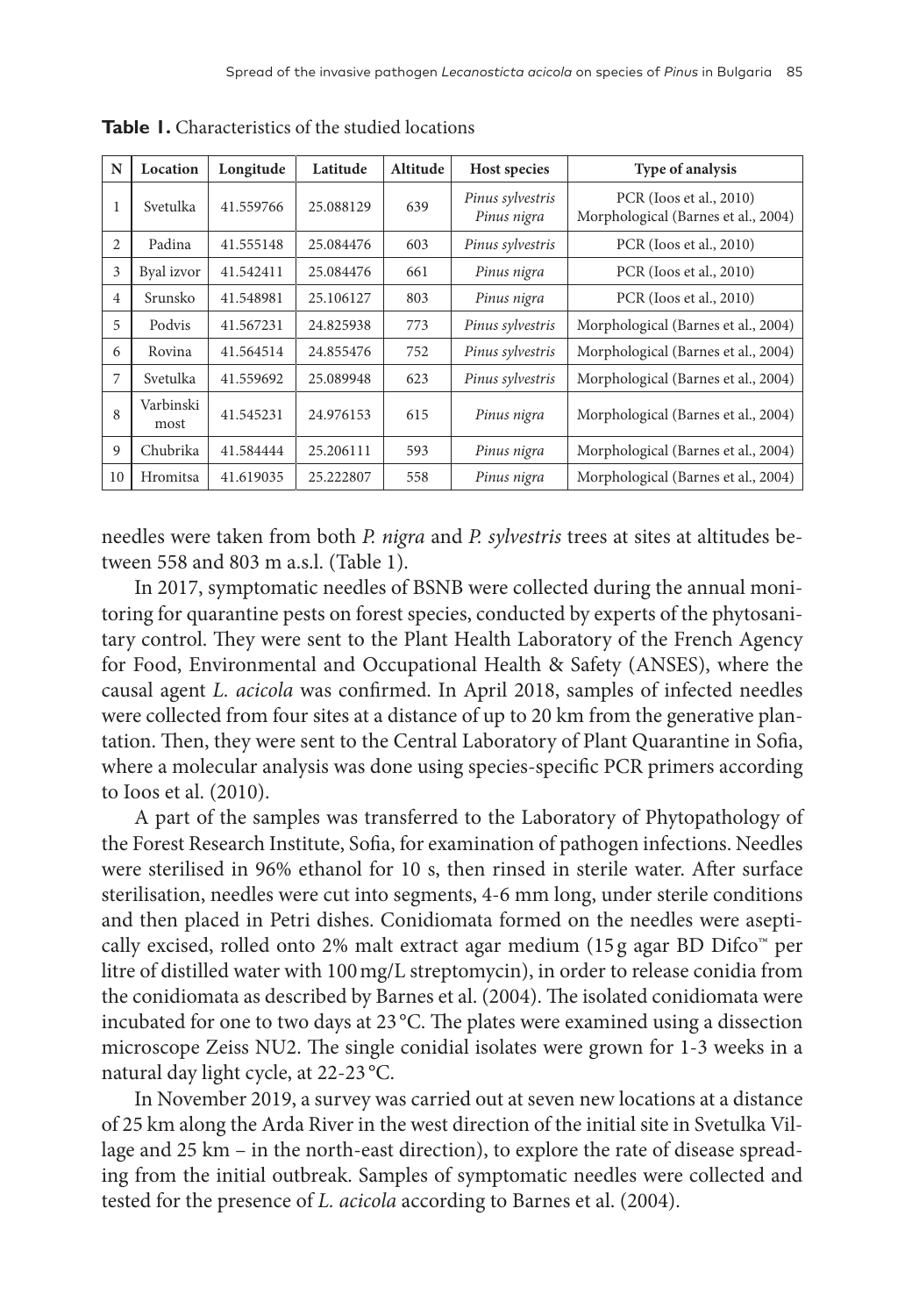| N              | Location          | Longitude | Latitude  | Altitude | Host species                    | Type of analysis                                               |
|----------------|-------------------|-----------|-----------|----------|---------------------------------|----------------------------------------------------------------|
| 1              | Svetulka          | 41.559766 | 25.088129 | 639      | Pinus sylvestris<br>Pinus nigra | PCR (Ioos et al., 2010)<br>Morphological (Barnes et al., 2004) |
| 2              | Padina            | 41.555148 | 25.084476 | 603      | Pinus sylvestris                | PCR (Ioos et al., 2010)                                        |
| 3              | Byal izvor        | 41.542411 | 25.084476 | 661      | Pinus nigra                     | PCR (Ioos et al., 2010)                                        |
| $\overline{4}$ | Srunsko           | 41.548981 | 25.106127 | 803      | Pinus nigra                     | PCR (Ioos et al., 2010)                                        |
| 5              | Podvis            | 41.567231 | 24.825938 | 773      | Pinus sylvestris                | Morphological (Barnes et al., 2004)                            |
| 6              | Rovina            | 41.564514 | 24.855476 | 752      | Pinus sylvestris                | Morphological (Barnes et al., 2004)                            |
| 7              | Svetulka          | 41.559692 | 25.089948 | 623      | Pinus sylvestris                | Morphological (Barnes et al., 2004)                            |
| 8              | Varbinski<br>most | 41.545231 | 24.976153 | 615      | Pinus nigra                     | Morphological (Barnes et al., 2004)                            |
| 9              | Chubrika          | 41.584444 | 25.206111 | 593      | Pinus nigra                     | Morphological (Barnes et al., 2004)                            |
| 10             | <b>Hromitsa</b>   | 41.619035 | 25.222807 | 558      | Pinus nigra                     | Morphological (Barnes et al., 2004)                            |

**Table 1.** Characteristics of the studied locations

needles were taken from both *P. nigra* and *P. sylvestris* trees at sites at altitudes between 558 and 803 m a.s.l. (Table 1).

In 2017, symptomatic needles of BSNB were collected during the annual monitoring for quarantine pests on forest species, conducted by experts of the phytosanitary control. They were sent to the Plant Health Laboratory of the French Agency for Food, Environmental and Occupational Health & Safety (ANSES), where the causal agent *L. acicola* was confirmed. In April 2018, samples of infected needles were collected from four sites at a distance of up to 20 km from the generative plantation. Then, they were sent to the Central Laboratory of Plant Quarantine in Sofia, where a molecular analysis was done using species-specific PCR primers according to Ioos et al. (2010).

A part of the samples was transferred to the Laboratory of Phytopathology of the Forest Research Institute, Sofia, for examination of pathogen infections. Needles were sterilised in 96% ethanol for 10 s, then rinsed in sterile water. After surface sterilisation, needles were cut into segments, 4-6 mm long, under sterile conditions and then placed in Petri dishes. Conidiomata formed on the needles were aseptically excised, rolled onto 2% malt extract agar medium (15 g agar BD Difco™ per litre of distilled water with 100mg/L streptomycin), in order to release conidia from the conidiomata as described by Barnes et al. (2004). The isolated conidiomata were incubated for one to two days at 23 °C. The plates were examined using a dissection microscope Zeiss NU2. The single conidial isolates were grown for 1-3 weeks in a natural day light cycle, at 22-23 °C.

In November 2019, a survey was carried out at seven new locations at a distance of 25 km along the Arda River in the west direction of the initial site in Svetulka Village and 25 km – in the north-east direction), to explore the rate of disease spreading from the initial outbreak. Samples of symptomatic needles were collected and tested for the presence of *L. acicola* according to Barnes et al. (2004).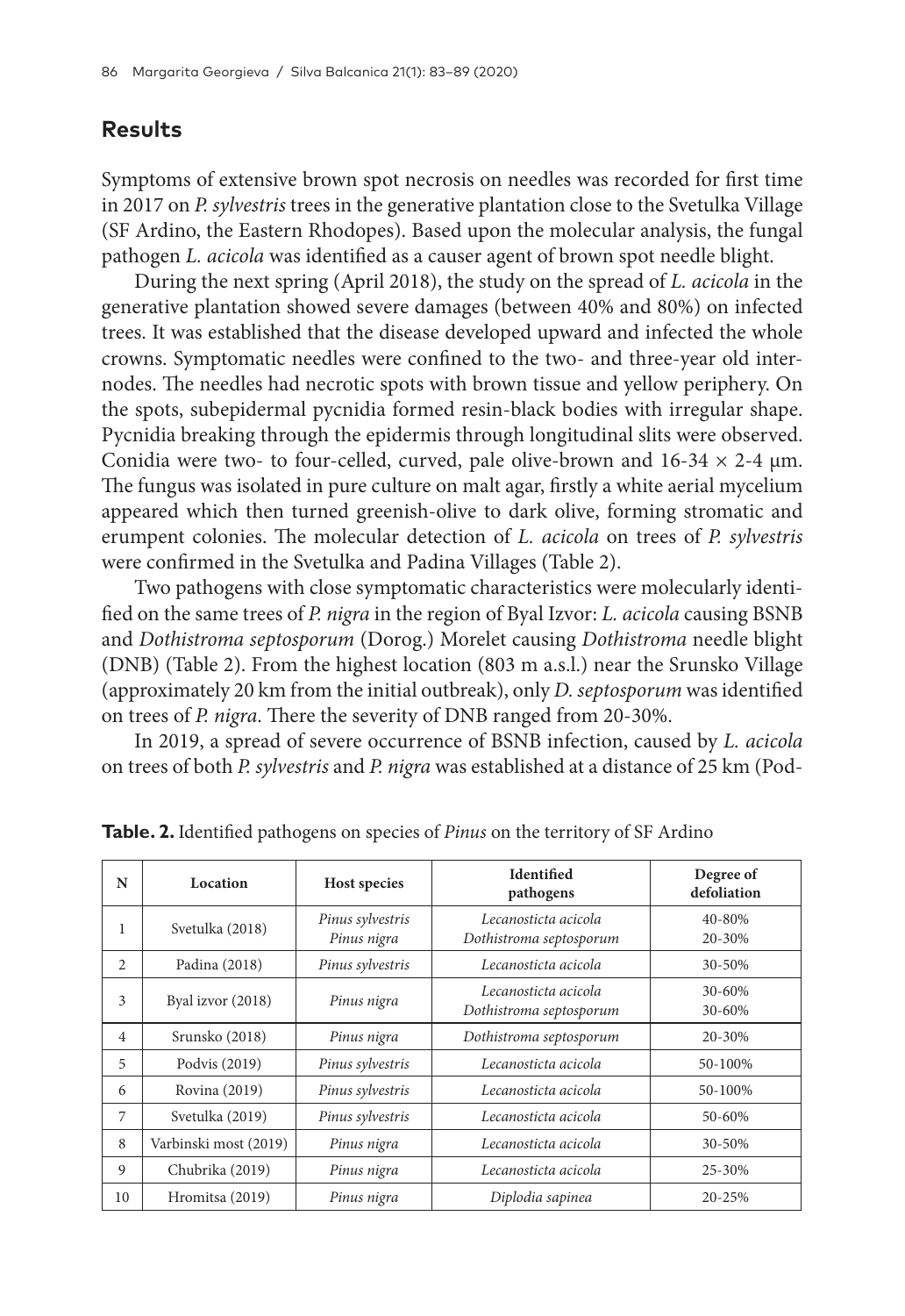# **Results**

Symptoms of extensive brown spot necrosis on needles was recorded for first time in 2017 on *P. sylvestris* trees in the generative plantation close to the Svetulka Village (SF Ardino, the Eastern Rhodopes). Based upon the molecular analysis, the fungal pathogen *L. acicola* was identified as a causer agent of brown spot needle blight.

During the next spring (April 2018), the study on the spread of *L. acicola* in the generative plantation showed severe damages (between 40% and 80%) on infected trees. It was established that the disease developed upward and infected the whole crowns. Symptomatic needles were confined to the two- and three-year old internodes. The needles had necrotic spots with brown tissue and yellow periphery. On the spots, subepidermal pycnidia formed resin-black bodies with irregular shape. Pycnidia breaking through the epidermis through longitudinal slits were observed. Conidia were two- to four-celled, curved, pale olive-brown and  $16-34 \times 2-4 \mu m$ . The fungus was isolated in pure culture on malt agar, firstly a white aerial mycelium appeared which then turned greenish-olive to dark olive, forming stromatic and erumpent colonies. The molecular detection of *L. acicola* on trees of *P. sylvestris* were confirmed in the Svetulka and Padina Villages (Table 2).

Two pathogens with close symptomatic characteristics were molecularly identified on the same trees of *P. nigra* in the region of Byal Izvor: *L. acicola* causing BSNB and *Dothistroma septosporum* (Dorog.) Morelet causing *Dothistroma* needle blight (DNB) (Table 2). From the highest location (803 m a.s.l.) near the Srunsko Village (approximately 20 km from the initial outbreak), only *D. septosporum* was identified on trees of *P. nigra*. There the severity of DNB ranged from 20-30%.

In 2019, a spread of severe occurrence of BSNB infection, caused by *L. acicola* on trees of both *P. sylvestris* and *P. nigra* was established at a distance of 25 km (Pod-

| N              | Location<br>Host species                           |                  | <b>Identified</b><br>pathogens                  | Degree of<br>defoliation |
|----------------|----------------------------------------------------|------------------|-------------------------------------------------|--------------------------|
| 1              | Pinus sylvestris<br>Svetulka (2018)<br>Pinus nigra |                  | Lecanosticta acicola<br>Dothistroma septosporum | 40-80%<br>20-30%         |
| $\overline{c}$ | Padina (2018)                                      | Pinus sylvestris | Lecanosticta acicola                            | $30 - 50\%$              |
| 3              | Byal izvor (2018)<br>Pinus nigra                   |                  | Lecanosticta acicola<br>Dothistroma septosporum | $30 - 60%$<br>30-60%     |
| $\overline{4}$ | Srunsko (2018)                                     | Pinus nigra      | Dothistroma septosporum                         | 20-30%                   |
| 5              | Podvis (2019)<br>Pinus sylvestris                  |                  | Lecanosticta acicola                            | 50-100%                  |
| 6              | Rovina (2019)                                      | Pinus sylvestris | Lecanosticta acicola                            | 50-100%                  |
| 7              | Svetulka (2019)<br>Pinus sylvestris                |                  | Lecanosticta acicola                            | $50 - 60%$               |
| 8              | Varbinski most (2019)<br>Pinus nigra               |                  | Lecanosticta acicola                            | $30 - 50%$               |
| 9              | Chubrika (2019)                                    | Pinus nigra      | Lecanosticta acicola                            | 25-30%                   |
| 10             | Hromitsa (2019)                                    | Pinus nigra      | Diplodia sapinea                                | $20 - 25%$               |

**Table. 2.** Identified pathogens on species of *Pinus* on the territory of SF Ardino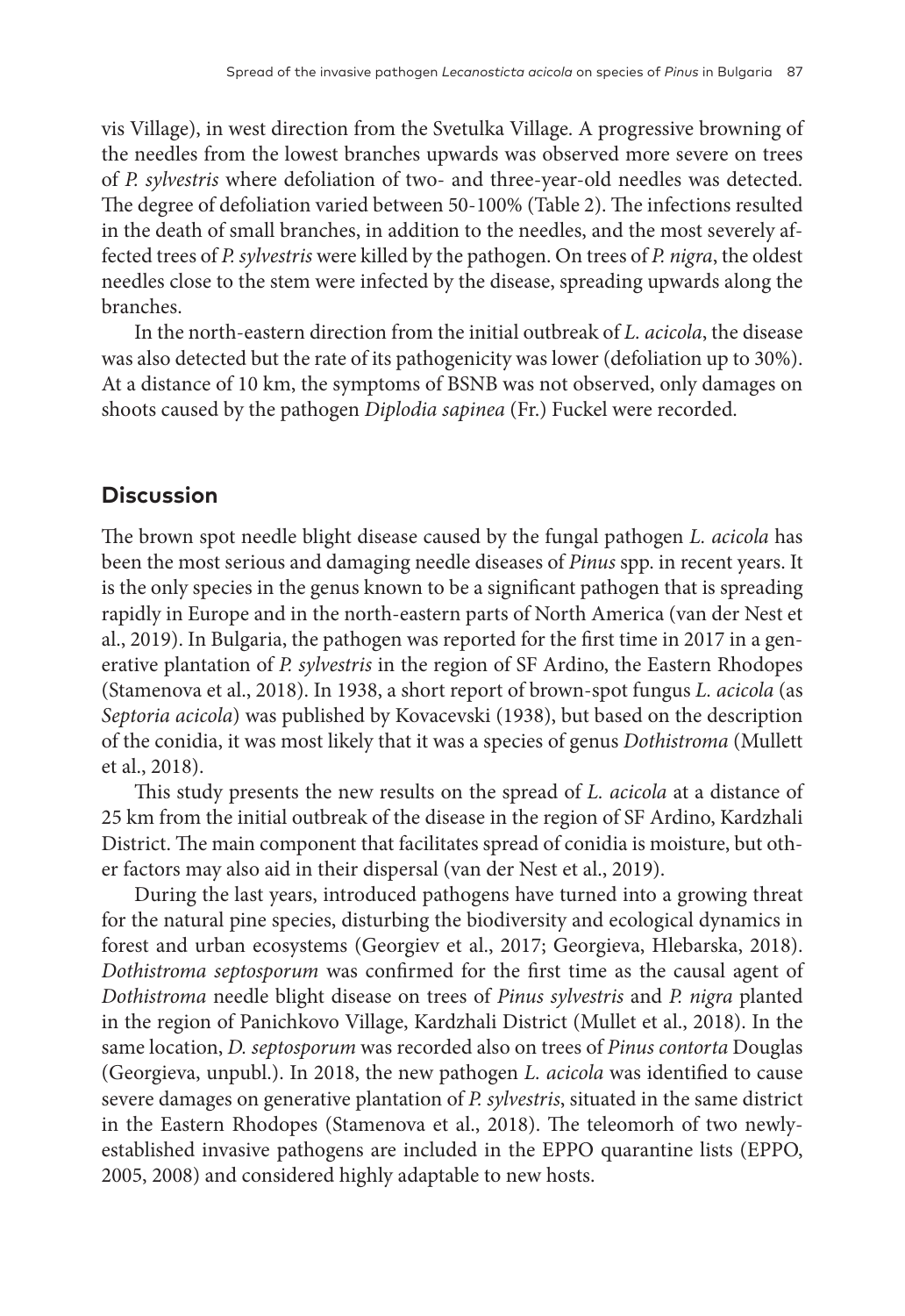vis Village), in west direction from the Svetulka Village. A progressive browning of the needles from the lowest branches upwards was observed more severe on trees of *P. sylvestris* where defoliation of two- and three-year-old needles was detected. The degree of defoliation varied between 50-100% (Table 2). The infections resulted in the death of small branches, in addition to the needles, and the most severely affected trees of *P. sylvestris* were killed by the pathogen. On trees of *P. nigra*, the oldest needles close to the stem were infected by the disease, spreading upwards along the branches.

In the north-eastern direction from the initial outbreak of *L. acicola*, the disease was also detected but the rate of its pathogenicity was lower (defoliation up to 30%). At a distance of 10 km, the symptoms of BSNB was not observed, only damages on shoots caused by the pathogen *Diplodia sapinea* (Fr.) Fuckel were recorded.

# **Discussion**

The brown spot needle blight disease caused by the fungal pathogen *L. acicola* has been the most serious and damaging needle diseases of *Pinus* spp. in recent years. It is the only species in the genus known to be a significant pathogen that is spreading rapidly in Europe and in the north-eastern parts of North America (van der Nest et al., 2019). In Bulgaria, the pathogen was reported for the first time in 2017 in a generative plantation of *P. sylvestris* in the region of SF Ardino, the Eastern Rhodopes (Stamenova et al., 2018). In 1938, a short report of brown-spot fungus *L. acicola* (as *Septoria acicola*) was published by Kovacevski (1938), but based on the description of the conidia, it was most likely that it was a species of genus *Dothistroma* (Mullett et al., 2018).

This study presents the new results on the spread of *L. acicola* at a distance of 25 km from the initial outbreak of the disease in the region of SF Ardino, Kardzhali District. The main component that facilitates spread of conidia is moisture, but other factors may also aid in their dispersal (van der Nest et al., 2019).

During the last years, introduced pathogens have turned into a growing threat for the natural pine species, disturbing the biodiversity and ecological dynamics in forest and urban ecosystems (Georgiev et al., 2017; Georgieva, Hlebarska, 2018). *Dothistroma septosporum* was confirmed for the first time as the causal agent of *Dothistroma* needle blight disease on trees of *Pinus sylvestris* and *P. nigra* planted in the region of Panichkovo Village, Kardzhali District (Mullet et al., 2018). In the same location, *D. septosporum* was recorded also on trees of *Pinus contorta* Douglas (Georgieva, unpubl.). In 2018, the new pathogen *L. acicola* was identified to cause severe damages on generative plantation of *P. sylvestris*, situated in the same district in the Eastern Rhodopes (Stamenova et al., 2018). The teleomorh of two newlyestablished invasive pathogens are included in the EPPO quarantine lists (EPPO, 2005, 2008) and considered highly adaptable to new hosts.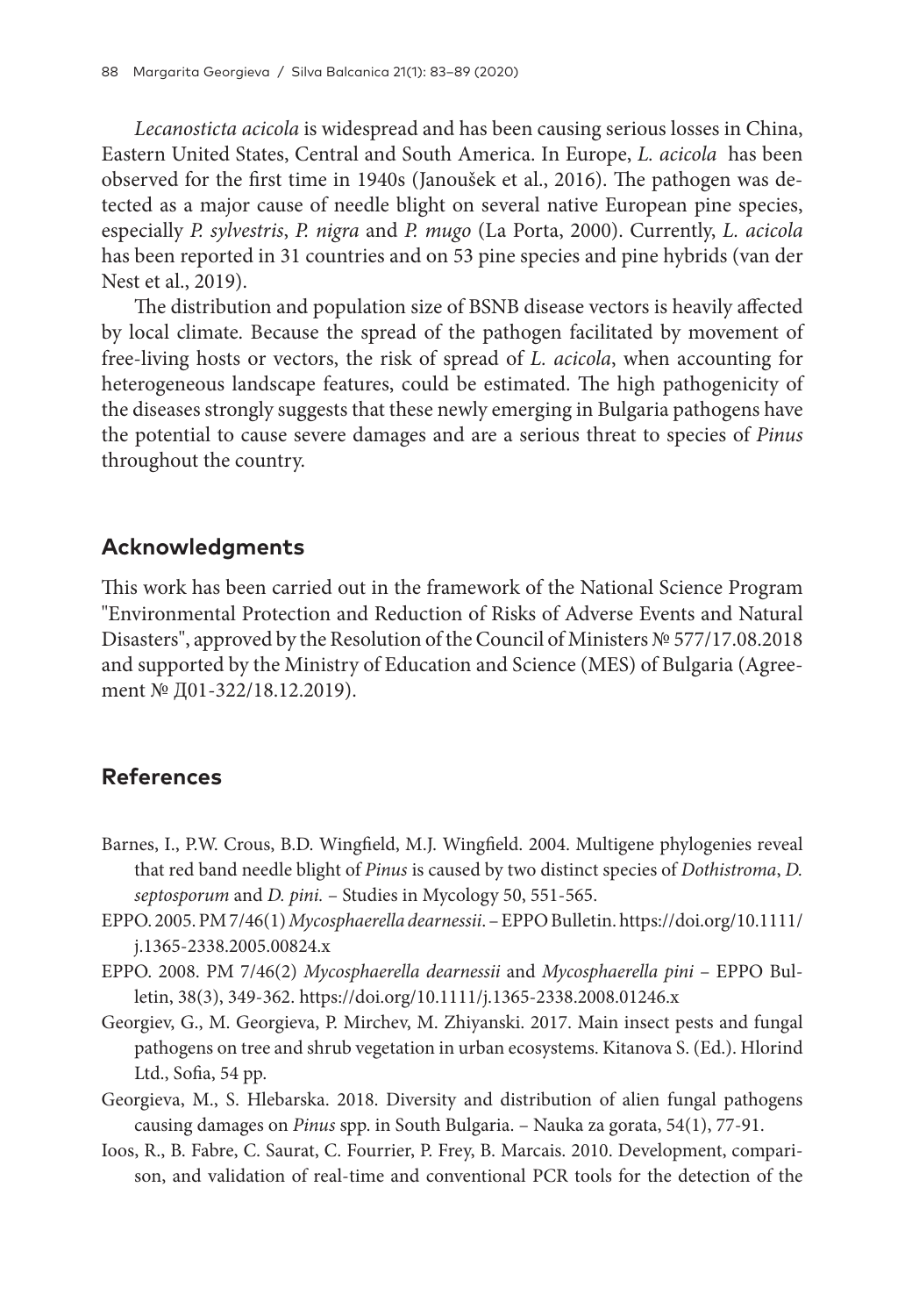*Lecanosticta acicola* is widespread and has been causing serious losses in China, Eastern United States, Central and South America. In Europe, *L. acicola* has been observed for the first time in 1940s (Janoušek et al., 2016). The pathogen was detected as a major cause of needle blight on several native European pine species, especially *P. sylvestris*, *P. nigra* and *P. mugo* (La Porta, 2000). Currently, *L. acicola* has been reported in 31 countries and on 53 pine species and pine hybrids (van der Nest et al., 2019).

The distribution and population size of BSNB disease vectors is heavily affected by local climate. Because the spread of the pathogen facilitated by movement of free-living hosts or vectors, the risk of spread of *L. acicola*, when accounting for heterogeneous landscape features, could be estimated. The high pathogenicity of the diseases strongly suggests that these newly emerging in Bulgaria pathogens have the potential to cause severe damages and are a serious threat to species of *Pinus* throughout the country.

## **Acknowledgments**

This work has been carried out in the framework of the National Science Program "Environmental Protection and Reduction of Risks of Adverse Events and Natural Disasters", approved by the Resolution of the Council of Ministers № 577/17.08.2018 and supported by the Ministry of Education and Science (MES) of Bulgaria (Agreement № Д01-322/18.12.2019).

# **References**

- Barnes, I., P.W. Crous, B.D. Wingfield, M.J. Wingfield. 2004. Multigene phylogenies reveal that red band needle blight of *Pinus* is caused by two distinct species of *Dothistroma*, *D. septosporum* and *D. pini.* – Studies in Mycology 50, 551-565.
- EPPO. 2005. PM 7/46(1) *Mycosphaerella dearnessii*. EPPO Bulletin. https://doi.org/10.1111/ j.1365-2338.2005.00824.x
- EPPO. 2008. PM 7/46(2) *Mycosphaerella dearnessii* and *Mycosphaerella pini* EPPO Bulletin, 38(3), 349-362. https://doi.org/10.1111/j.1365-2338.2008.01246.x
- Georgiev, G., M. Georgieva, P. Mirchev, M. Zhiyanski. 2017. Main insect pests and fungal pathogens on tree and shrub vegetation in urban ecosystems. Kitanova S. (Ed.). Hlorind Ltd., Sofia, 54 pp.
- Georgieva, М., S. Hlebarska. 2018. Diversity and distribution of alien fungal pathogens causing damages on *Pinus* spp. in South Bulgaria. – Nauka za gorata, 54(1), 77-91.
- Ioos, R., B. Fabre, C. Saurat, C. Fourrier, P. Frey, B. Marcais. 2010. Development, comparison, and validation of real-time and conventional PCR tools for the detection of the